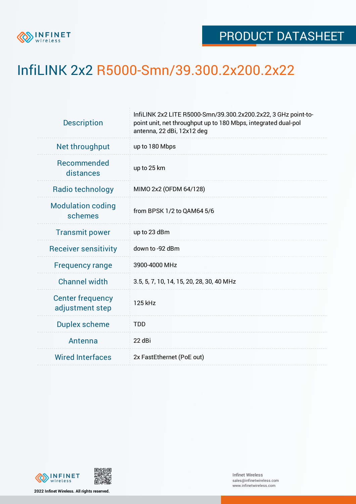

## InfiLINK 2x2 R5000-Smn/39.300.2x200.2x22

| <b>Description</b>                         | InfiLINK 2x2 LITE R5000-Smn/39.300.2x200.2x22, 3 GHz point-to-<br>point unit, net throughput up to 180 Mbps, integrated dual-pol<br>antenna, 22 dBi, 12x12 deg |  |  |  |  |
|--------------------------------------------|----------------------------------------------------------------------------------------------------------------------------------------------------------------|--|--|--|--|
| Net throughput                             | up to 180 Mbps                                                                                                                                                 |  |  |  |  |
| <b>Recommended</b><br>distances            | up to 25 km                                                                                                                                                    |  |  |  |  |
| Radio technology                           | MIMO 2x2 (OFDM 64/128)                                                                                                                                         |  |  |  |  |
| <b>Modulation coding</b><br>schemes        | from BPSK 1/2 to QAM64 5/6                                                                                                                                     |  |  |  |  |
| <b>Transmit power</b>                      | up to 23 dBm                                                                                                                                                   |  |  |  |  |
| <b>Receiver sensitivity</b>                | down to -92 dBm                                                                                                                                                |  |  |  |  |
| <b>Frequency range</b>                     | 3900-4000 MHz                                                                                                                                                  |  |  |  |  |
| <b>Channel width</b>                       | 3.5, 5, 7, 10, 14, 15, 20, 28, 30, 40 MHz                                                                                                                      |  |  |  |  |
| <b>Center frequency</b><br>adjustment step | 125 kHz                                                                                                                                                        |  |  |  |  |
| <b>Duplex scheme</b>                       | <b>TDD</b>                                                                                                                                                     |  |  |  |  |
| Antenna                                    | 22 dBi                                                                                                                                                         |  |  |  |  |
| <b>Wired Interfaces</b>                    | 2x FastEthernet (PoE out)                                                                                                                                      |  |  |  |  |



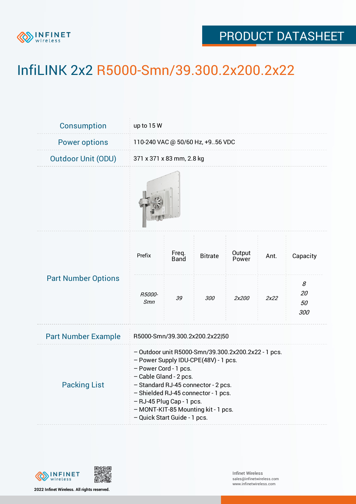

## PRODUCT DATASHEET

## InfiLINK 2x2 R5000-Smn/39.300.2x200.2x22

| Consumption                | up to 15 W                                                                                                                                                                                                                                                                                                                       |               |                |                 |      |                      |  |  |
|----------------------------|----------------------------------------------------------------------------------------------------------------------------------------------------------------------------------------------------------------------------------------------------------------------------------------------------------------------------------|---------------|----------------|-----------------|------|----------------------|--|--|
| <b>Power options</b>       | 110-240 VAC @ 50/60 Hz, +956 VDC                                                                                                                                                                                                                                                                                                 |               |                |                 |      |                      |  |  |
| <b>Outdoor Unit (ODU)</b>  | 371 x 371 x 83 mm, 2.8 kg                                                                                                                                                                                                                                                                                                        |               |                |                 |      |                      |  |  |
|                            |                                                                                                                                                                                                                                                                                                                                  |               |                |                 |      |                      |  |  |
| <b>Part Number Options</b> | Prefix                                                                                                                                                                                                                                                                                                                           | Freq.<br>Band | <b>Bitrate</b> | Output<br>Power | Ant. | Capacity             |  |  |
|                            | R5000-<br>Smn                                                                                                                                                                                                                                                                                                                    | 39            | 300            | 2x200           | 2x22 | 8<br>20<br>50<br>300 |  |  |
| <b>Part Number Example</b> | R5000-Smn/39.300.2x200.2x22 50                                                                                                                                                                                                                                                                                                   |               |                |                 |      |                      |  |  |
| <b>Packing List</b>        | - Outdoor unit R5000-Smn/39.300.2x200.2x22 - 1 pcs.<br>- Power Supply IDU-CPE(48V) - 1 pcs.<br>- Power Cord - 1 pcs.<br>- Cable Gland - 2 pcs.<br>- Standard RJ-45 connector - 2 pcs.<br>- Shielded RJ-45 connector - 1 pcs.<br>- RJ-45 Plug Cap - 1 pcs.<br>- MONT-KIT-85 Mounting kit - 1 pcs.<br>- Quick Start Guide - 1 pcs. |               |                |                 |      |                      |  |  |



**2022 Infinet Wireless. All rights reserved.**

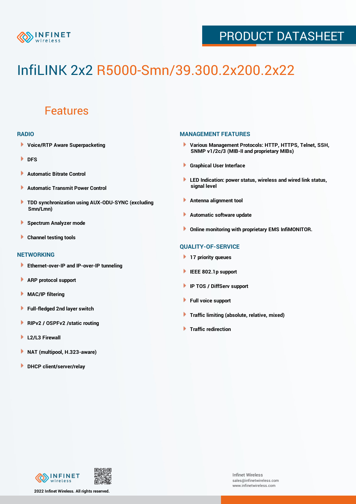

### PRODUCT DATASHEET

# InfiLINK 2x2 R5000-Smn/39.300.2x200.2x22

### Features

#### **RADIO**

- **Voice/RTP Aware Superpacketing**
- **DFS**
- **Automatic Bitrate Control** Þ
- Þ **Automatic Transmit Power Control**
- ь **TDD synchronization using AUX-ODU-SYNC (excluding Smn/Lmn)**
- **Spectrum Analyzer mode** ۰
- **Channel testing tools** ١

#### **NETWORKING**

- **Ethernet-over-IP and IP-over-IP tunneling**
- Þ **ARP protocol support**
- ۱ **MAC/IP filtering**
- Þ **Full-fledged 2nd layer switch**
- Þ **RIPv2 / OSPFv2 /static routing**
- **L2/L3 Firewall** Þ
- **NAT (multipool, H.323-aware)** Þ
- Þ **DHCP client/server/relay**

#### **MANAGEMENT FEATURES**

- **Various Management Protocols: HTTP, HTTPS, Telnet, SSH, SNMP v1/2c/3 (MIB-II and proprietary MIBs)**
- **Graphical User Interface**
- **LED Indication: power status, wireless and wired link status, signal level**
- **Antenna alignment tool**
- ٠ **Automatic software update**
- **Online monitoring with proprietary EMS InfiMONITOR.**

#### **QUALITY-OF-SERVICE**

- **17 priority queues**
- **IEEE 802.1p support**
- **IP TOS / DiffServ support**
- ٠ **Full voice support**
- **Traffic limiting (absolute, relative, mixed)** ٠
- **Traffic redirection**